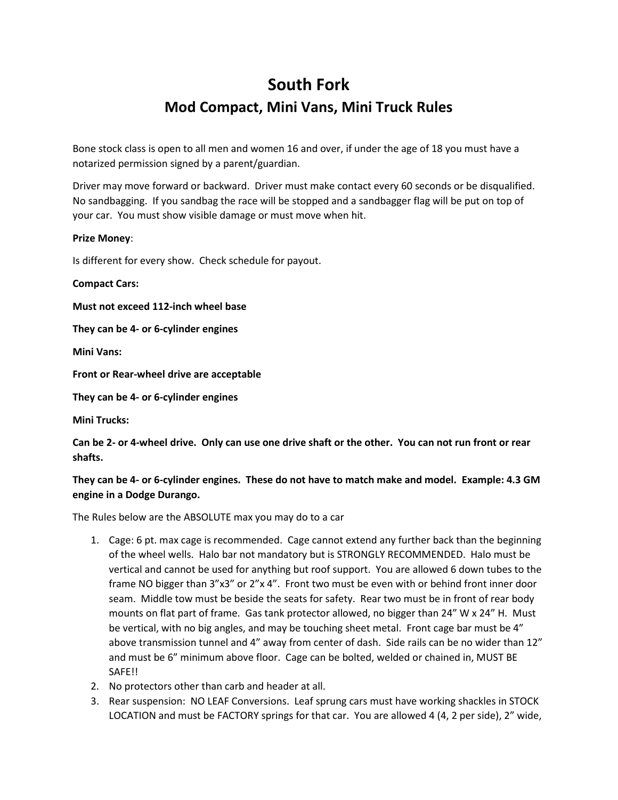## **South Fork Mod Compact, Mini Vans, Mini Truck Rules**

Bone stock class is open to all men and women 16 and over, if under the age of 18 you must have a notarized permission signed by a parent/guardian.

Driver may move forward or backward. Driver must make contact every 60 seconds or be disqualified. No sandbagging. If you sandbag the race will be stopped and a sandbagger flag will be put on top of your car. You must show visible damage or must move when hit.

## **Prize Money**:

Is different for every show. Check schedule for payout.

**Compact Cars:** 

**Must not exceed 112-inch wheel base**

**They can be 4- or 6-cylinder engines**

**Mini Vans:** 

**Front or Rear-wheel drive are acceptable**

**They can be 4- or 6-cylinder engines**

**Mini Trucks:** 

**Can be 2- or 4-wheel drive. Only can use one drive shaft or the other. You can not run front or rear shafts.** 

## **They can be 4- or 6-cylinder engines. These do not have to match make and model. Example: 4.3 GM engine in a Dodge Durango.**

The Rules below are the ABSOLUTE max you may do to a car

- 1. Cage: 6 pt. max cage is recommended. Cage cannot extend any further back than the beginning of the wheel wells. Halo bar not mandatory but is STRONGLY RECOMMENDED. Halo must be vertical and cannot be used for anything but roof support. You are allowed 6 down tubes to the frame NO bigger than 3"x3" or 2"x 4". Front two must be even with or behind front inner door seam. Middle tow must be beside the seats for safety. Rear two must be in front of rear body mounts on flat part of frame. Gas tank protector allowed, no bigger than 24" W x 24" H. Must be vertical, with no big angles, and may be touching sheet metal. Front cage bar must be 4" above transmission tunnel and 4" away from center of dash. Side rails can be no wider than 12" and must be 6" minimum above floor. Cage can be bolted, welded or chained in, MUST BE SAFE!!
- 2. No protectors other than carb and header at all.
- 3. Rear suspension: NO LEAF Conversions. Leaf sprung cars must have working shackles in STOCK LOCATION and must be FACTORY springs for that car. You are allowed 4 (4, 2 per side), 2" wide,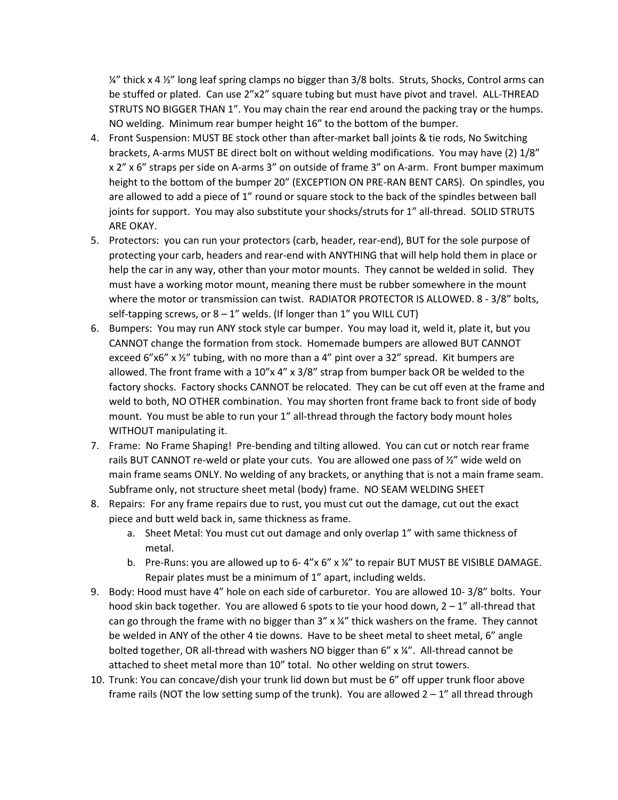$\frac{1}{4}$ " thick x 4  $\frac{1}{2}$ " long leaf spring clamps no bigger than 3/8 bolts. Struts, Shocks, Control arms can be stuffed or plated. Can use 2"x2" square tubing but must have pivot and travel. ALL-THREAD STRUTS NO BIGGER THAN 1". You may chain the rear end around the packing tray or the humps. NO welding. Minimum rear bumper height 16" to the bottom of the bumper.

- 4. Front Suspension: MUST BE stock other than after-market ball joints & tie rods, No Switching brackets, A-arms MUST BE direct bolt on without welding modifications. You may have (2) 1/8" x 2" x 6" straps per side on A-arms 3" on outside of frame 3" on A-arm. Front bumper maximum height to the bottom of the bumper 20" (EXCEPTION ON PRE-RAN BENT CARS). On spindles, you are allowed to add a piece of 1" round or square stock to the back of the spindles between ball joints for support. You may also substitute your shocks/struts for 1" all-thread. SOLID STRUTS ARE OKAY.
- 5. Protectors: you can run your protectors (carb, header, rear-end), BUT for the sole purpose of protecting your carb, headers and rear-end with ANYTHING that will help hold them in place or help the car in any way, other than your motor mounts. They cannot be welded in solid. They must have a working motor mount, meaning there must be rubber somewhere in the mount where the motor or transmission can twist. RADIATOR PROTECTOR IS ALLOWED. 8 - 3/8" bolts, self-tapping screws, or  $8 - 1$ " welds. (If longer than  $1$ " you WILL CUT)
- 6. Bumpers: You may run ANY stock style car bumper. You may load it, weld it, plate it, but you CANNOT change the formation from stock. Homemade bumpers are allowed BUT CANNOT exceed 6"x6" x 1/2" tubing, with no more than a 4" pint over a 32" spread. Kit bumpers are allowed. The front frame with a 10"x 4" x 3/8" strap from bumper back OR be welded to the factory shocks. Factory shocks CANNOT be relocated. They can be cut off even at the frame and weld to both, NO OTHER combination. You may shorten front frame back to front side of body mount. You must be able to run your 1" all-thread through the factory body mount holes WITHOUT manipulating it.
- 7. Frame: No Frame Shaping! Pre-bending and tilting allowed. You can cut or notch rear frame rails BUT CANNOT re-weld or plate your cuts. You are allowed one pass of  $\frac{y}{x}$  wide weld on main frame seams ONLY. No welding of any brackets, or anything that is not a main frame seam. Subframe only, not structure sheet metal (body) frame. NO SEAM WELDING SHEET
- 8. Repairs: For any frame repairs due to rust, you must cut out the damage, cut out the exact piece and butt weld back in, same thickness as frame.
	- a. Sheet Metal: You must cut out damage and only overlap 1" with same thickness of metal.
	- b. Pre-Runs: you are allowed up to 6- 4"x 6" x ¼" to repair BUT MUST BE VISIBLE DAMAGE. Repair plates must be a minimum of 1" apart, including welds.
- 9. Body: Hood must have 4" hole on each side of carburetor. You are allowed 10- 3/8" bolts. Your hood skin back together. You are allowed 6 spots to tie your hood down,  $2 - 1$ " all-thread that can go through the frame with no bigger than  $3'' \times \frac{1}{4}''$  thick washers on the frame. They cannot be welded in ANY of the other 4 tie downs. Have to be sheet metal to sheet metal, 6" angle bolted together, OR all-thread with washers NO bigger than 6" x ¼". All-thread cannot be attached to sheet metal more than 10" total. No other welding on strut towers.
- 10. Trunk: You can concave/dish your trunk lid down but must be 6" off upper trunk floor above frame rails (NOT the low setting sump of the trunk). You are allowed  $2 - 1$ " all thread through